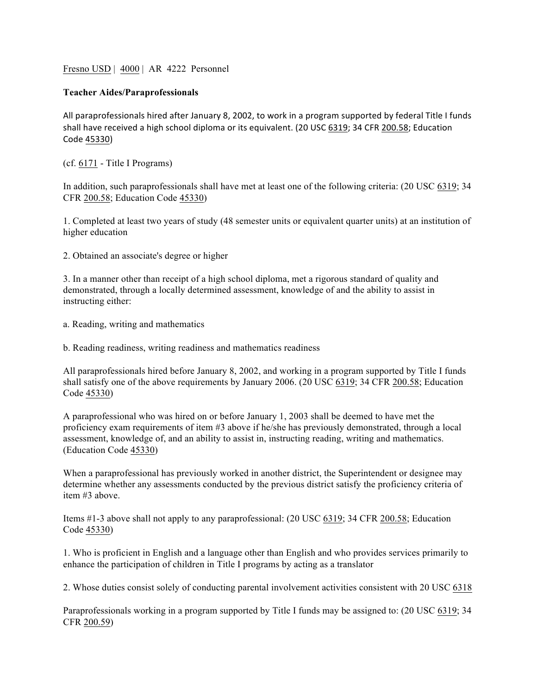Fresno USD | 4000 | AR 4222 Personnel

## **Teacher Aides/Paraprofessionals**

All paraprofessionals hired after January 8, 2002, to work in a program supported by federal Title I funds shall have received a high school diploma or its equivalent. (20 USC 6319; 34 CFR 200.58; Education Code 45330)

(cf. 6171 - Title I Programs)

In addition, such paraprofessionals shall have met at least one of the following criteria: (20 USC 6319; 34 CFR 200.58; Education Code 45330)

1. Completed at least two years of study (48 semester units or equivalent quarter units) at an institution of higher education

2. Obtained an associate's degree or higher

3. In a manner other than receipt of a high school diploma, met a rigorous standard of quality and demonstrated, through a locally determined assessment, knowledge of and the ability to assist in instructing either:

a. Reading, writing and mathematics

b. Reading readiness, writing readiness and mathematics readiness

All paraprofessionals hired before January 8, 2002, and working in a program supported by Title I funds shall satisfy one of the above requirements by January 2006. (20 USC 6319; 34 CFR 200.58; Education Code 45330)

A paraprofessional who was hired on or before January 1, 2003 shall be deemed to have met the proficiency exam requirements of item #3 above if he/she has previously demonstrated, through a local assessment, knowledge of, and an ability to assist in, instructing reading, writing and mathematics. (Education Code 45330)

When a paraprofessional has previously worked in another district, the Superintendent or designee may determine whether any assessments conducted by the previous district satisfy the proficiency criteria of item #3 above.

Items #1-3 above shall not apply to any paraprofessional: (20 USC 6319; 34 CFR 200.58; Education Code 45330)

1. Who is proficient in English and a language other than English and who provides services primarily to enhance the participation of children in Title I programs by acting as a translator

2. Whose duties consist solely of conducting parental involvement activities consistent with 20 USC 6318

Paraprofessionals working in a program supported by Title I funds may be assigned to: (20 USC 6319; 34 CFR 200.59)